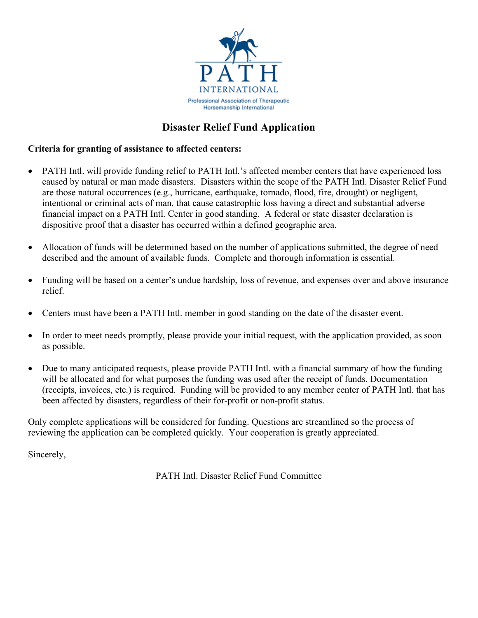

## **Disaster Relief Fund Application**

## **Criteria for granting of assistance to affected centers:**

- PATH Intl. will provide funding relief to PATH Intl.'s affected member centers that have experienced loss caused by natural or man made disasters. Disasters within the scope of the PATH Intl. Disaster Relief Fund are those natural occurrences (e.g., hurricane, earthquake, tornado, flood, fire, drought) or negligent, intentional or criminal acts of man, that cause catastrophic loss having a direct and substantial adverse financial impact on a PATH Intl. Center in good standing. A federal or state disaster declaration is dispositive proof that a disaster has occurred within a defined geographic area.
- Allocation of funds will be determined based on the number of applications submitted, the degree of need described and the amount of available funds. Complete and thorough information is essential.
- Funding will be based on a center's undue hardship, loss of revenue, and expenses over and above insurance relief.
- Centers must have been a PATH Intl. member in good standing on the date of the disaster event.
- In order to meet needs promptly, please provide your initial request, with the application provided, as soon as possible.
- Due to many anticipated requests, please provide PATH Intl. with a financial summary of how the funding will be allocated and for what purposes the funding was used after the receipt of funds. Documentation (receipts, invoices, etc.) is required. Funding will be provided to any member center of PATH Intl. that has been affected by disasters, regardless of their for-profit or non-profit status.

Only complete applications will be considered for funding. Questions are streamlined so the process of reviewing the application can be completed quickly. Your cooperation is greatly appreciated.

Sincerely,

PATH Intl. Disaster Relief Fund Committee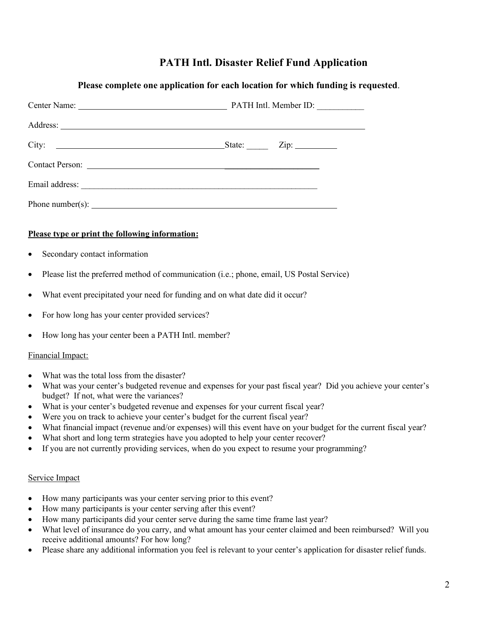## **PATH Intl. Disaster Relief Fund Application**

| Please complete one application for each location for which funding is requested.                                                                                                                                             |                                                                                                                                                                                                                                                                                                                                                                                                                                                                                                                                                                                              |  |  |  |  |  |  |  |
|-------------------------------------------------------------------------------------------------------------------------------------------------------------------------------------------------------------------------------|----------------------------------------------------------------------------------------------------------------------------------------------------------------------------------------------------------------------------------------------------------------------------------------------------------------------------------------------------------------------------------------------------------------------------------------------------------------------------------------------------------------------------------------------------------------------------------------------|--|--|--|--|--|--|--|
|                                                                                                                                                                                                                               |                                                                                                                                                                                                                                                                                                                                                                                                                                                                                                                                                                                              |  |  |  |  |  |  |  |
|                                                                                                                                                                                                                               |                                                                                                                                                                                                                                                                                                                                                                                                                                                                                                                                                                                              |  |  |  |  |  |  |  |
|                                                                                                                                                                                                                               |                                                                                                                                                                                                                                                                                                                                                                                                                                                                                                                                                                                              |  |  |  |  |  |  |  |
|                                                                                                                                                                                                                               |                                                                                                                                                                                                                                                                                                                                                                                                                                                                                                                                                                                              |  |  |  |  |  |  |  |
|                                                                                                                                                                                                                               |                                                                                                                                                                                                                                                                                                                                                                                                                                                                                                                                                                                              |  |  |  |  |  |  |  |
|                                                                                                                                                                                                                               | Phone number(s): $\frac{1}{2}$ $\frac{1}{2}$ $\frac{1}{2}$ $\frac{1}{2}$ $\frac{1}{2}$ $\frac{1}{2}$ $\frac{1}{2}$ $\frac{1}{2}$ $\frac{1}{2}$ $\frac{1}{2}$ $\frac{1}{2}$ $\frac{1}{2}$ $\frac{1}{2}$ $\frac{1}{2}$ $\frac{1}{2}$ $\frac{1}{2}$ $\frac{1}{2}$ $\frac{1}{2}$ $\frac{1}{2}$ $\frac{1}{2}$ $\frac{$                                                                                                                                                                                                                                                                            |  |  |  |  |  |  |  |
| Please type or print the following information:                                                                                                                                                                               |                                                                                                                                                                                                                                                                                                                                                                                                                                                                                                                                                                                              |  |  |  |  |  |  |  |
| Secondary contact information<br>$\bullet$                                                                                                                                                                                    |                                                                                                                                                                                                                                                                                                                                                                                                                                                                                                                                                                                              |  |  |  |  |  |  |  |
| $\bullet$                                                                                                                                                                                                                     | Please list the preferred method of communication (i.e.; phone, email, US Postal Service)                                                                                                                                                                                                                                                                                                                                                                                                                                                                                                    |  |  |  |  |  |  |  |
| $\bullet$                                                                                                                                                                                                                     | What event precipitated your need for funding and on what date did it occur?                                                                                                                                                                                                                                                                                                                                                                                                                                                                                                                 |  |  |  |  |  |  |  |
| For how long has your center provided services?<br>$\bullet$                                                                                                                                                                  |                                                                                                                                                                                                                                                                                                                                                                                                                                                                                                                                                                                              |  |  |  |  |  |  |  |
| How long has your center been a PATH Intl. member?<br>$\bullet$                                                                                                                                                               |                                                                                                                                                                                                                                                                                                                                                                                                                                                                                                                                                                                              |  |  |  |  |  |  |  |
| Financial Impact:                                                                                                                                                                                                             |                                                                                                                                                                                                                                                                                                                                                                                                                                                                                                                                                                                              |  |  |  |  |  |  |  |
| What was the total loss from the disaster?<br>$\bullet$<br>$\bullet$<br>budget? If not, what were the variances?<br>$\bullet$<br>$\bullet$<br>$\bullet$                                                                       | What was your center's budgeted revenue and expenses for your past fiscal year? Did you achieve your center's<br>What is your center's budgeted revenue and expenses for your current fiscal year?<br>Were you on track to achieve your center's budget for the current fiscal year?<br>What financial impact (revenue and/or expenses) will this event have on your budget for the current fiscal year?<br>What short and long term strategies have you adopted to help your center recover?<br>If you are not currently providing services, when do you expect to resume your programming? |  |  |  |  |  |  |  |
| Service Impact                                                                                                                                                                                                                |                                                                                                                                                                                                                                                                                                                                                                                                                                                                                                                                                                                              |  |  |  |  |  |  |  |
| How many participants was your center serving prior to this event?<br>$\bullet$<br>How many participants is your center serving after this event?<br>$\bullet$<br>٠<br>$\bullet$<br>receive additional amounts? For how long? | How many participants did your center serve during the same time frame last year?<br>What level of insurance do you carry, and what amount has your center claimed and been reimbursed? Will you                                                                                                                                                                                                                                                                                                                                                                                             |  |  |  |  |  |  |  |

• Please share any additional information you feel is relevant to your center's application for disaster relief funds.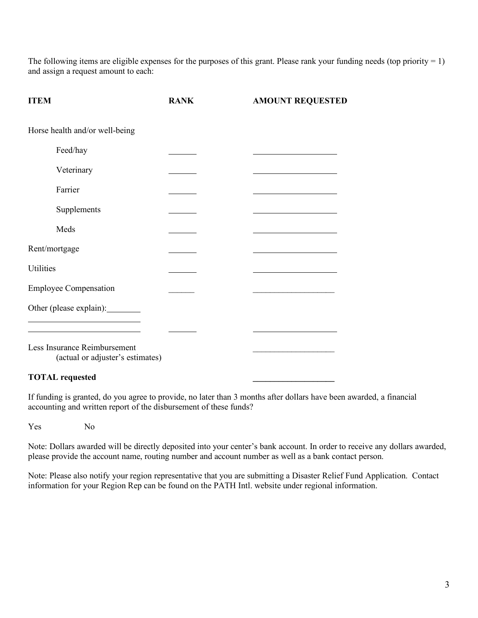The following items are eligible expenses for the purposes of this grant. Please rank your funding needs (top priority  $= 1$ ) and assign a request amount to each:

| <b>ITEM</b>                                                      | <b>RANK</b> | <b>AMOUNT REQUESTED</b> |
|------------------------------------------------------------------|-------------|-------------------------|
| Horse health and/or well-being                                   |             |                         |
| Feed/hay                                                         |             |                         |
| Veterinary                                                       |             |                         |
| Farrier                                                          |             |                         |
| Supplements                                                      |             |                         |
| Meds                                                             |             |                         |
| Rent/mortgage                                                    |             |                         |
| Utilities                                                        |             |                         |
| <b>Employee Compensation</b>                                     |             |                         |
| Other (please explain):                                          |             |                         |
|                                                                  |             |                         |
| Less Insurance Reimbursement<br>(actual or adjuster's estimates) |             |                         |

## **TOTAL requested \_\_\_\_\_\_\_\_\_\_\_\_\_\_\_\_\_\_\_**

If funding is granted, do you agree to provide, no later than 3 months after dollars have been awarded, a financial accounting and written report of the disbursement of these funds?

Yes No

Note: Dollars awarded will be directly deposited into your center's bank account. In order to receive any dollars awarded, please provide the account name, routing number and account number as well as a bank contact person.

Note: Please also notify your region representative that you are submitting a Disaster Relief Fund Application. Contact information for your Region Rep can be found on the PATH Intl. website under regional information.